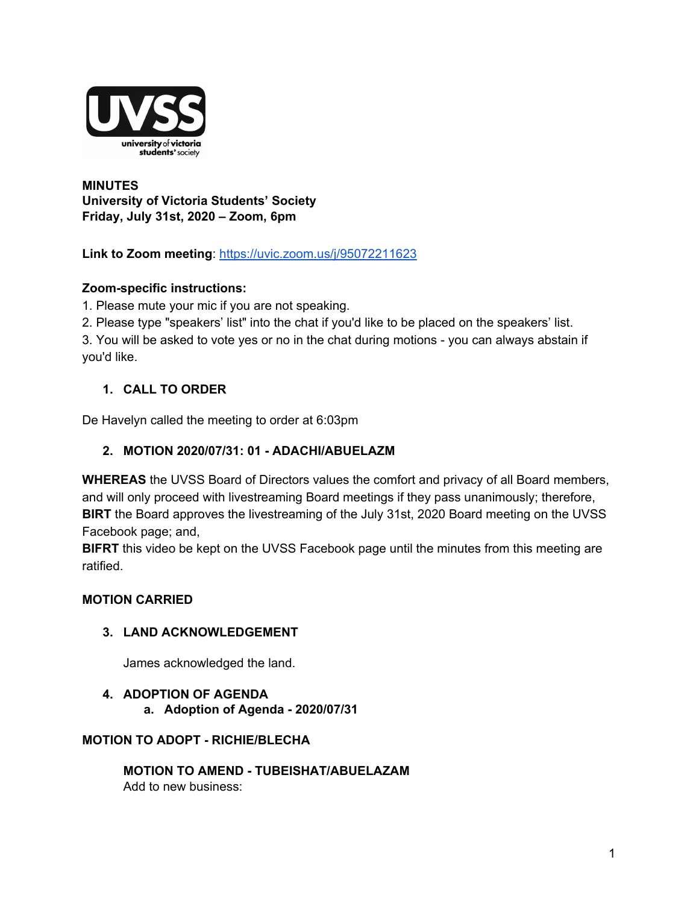

**MINUTES University of Victoria Students' Society Friday, July 31st, 2020 – Zoom, 6pm**

**Link to Zoom meeting**: https://uvic.zoom.us/j/95072211623

# **Zoom-specific instructions:**

1. Please mute your mic if you are not speaking.

2. Please type "speakers' list" into the chat if you'd like to be placed on the speakers' list.

3. You will be asked to vote yes or no in the chat during motions - you can always abstain if you'd like.

# **1. CALL TO ORDER**

De Havelyn called the meeting to order at 6:03pm

# **2. MOTION 2020/07/31: 01 - ADACHI/ABUELAZM**

**WHEREAS** the UVSS Board of Directors values the comfort and privacy of all Board members, and will only proceed with livestreaming Board meetings if they pass unanimously; therefore, **BIRT** the Board approves the livestreaming of the July 31st, 2020 Board meeting on the UVSS Facebook page; and,

**BIFRT** this video be kept on the UVSS Facebook page until the minutes from this meeting are ratified.

### **MOTION CARRIED**

### **3. LAND ACKNOWLEDGEMENT**

James acknowledged the land.

### **4. ADOPTION OF AGENDA**

**a. Adoption of Agenda - 2020/07/31**

### **MOTION TO ADOPT - RICHIE/BLECHA**

**MOTION TO AMEND - TUBEISHAT/ABUELAZAM** Add to new business: